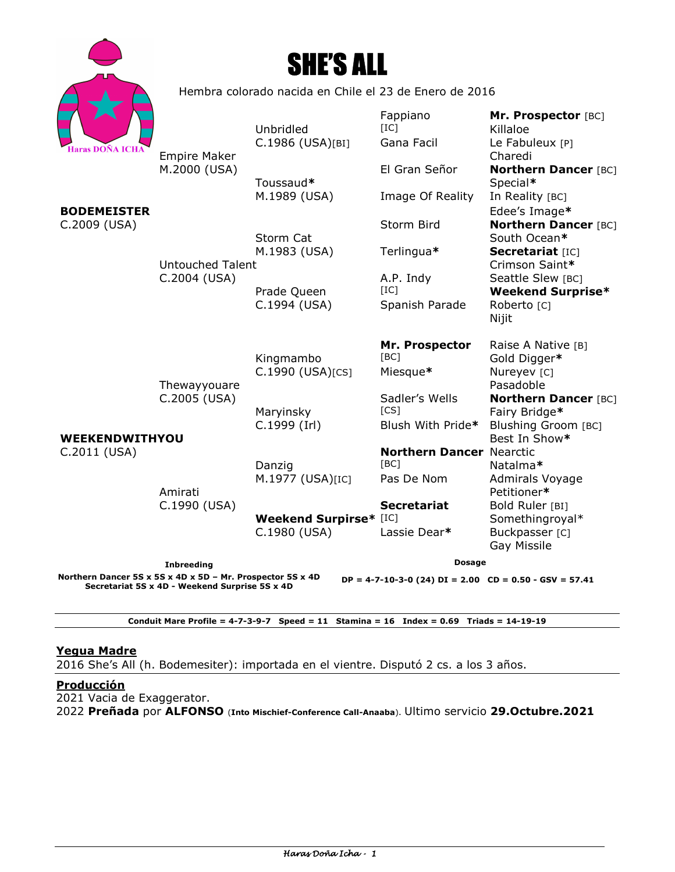



Hembra colorado nacida en Chile el 23 de Enero de 2016

| <b>Haras DOÑA ICHA</b>                                                                                                                                                       |                                         | Unbridled<br>C.1986 (USA)[BI]                 | Fappiano<br>[IC]<br>Gana Facil          | Mr. Prospector [BC]<br>Killaloe<br>Le Fabuleux [P]                    |
|------------------------------------------------------------------------------------------------------------------------------------------------------------------------------|-----------------------------------------|-----------------------------------------------|-----------------------------------------|-----------------------------------------------------------------------|
|                                                                                                                                                                              | <b>Empire Maker</b><br>M.2000 (USA)     | Toussaud*<br>M.1989 (USA)                     | El Gran Señor<br>Image Of Reality       | Charedi<br><b>Northern Dancer [BC]</b><br>Special*<br>In Reality [BC] |
| <b>BODEMEISTER</b>                                                                                                                                                           | <b>Untouched Talent</b><br>C.2004 (USA) |                                               |                                         | Edee's Image*                                                         |
| C.2009 (USA)                                                                                                                                                                 |                                         | Storm Cat                                     | Storm Bird                              | <b>Northern Dancer [BC]</b><br>South Ocean*                           |
|                                                                                                                                                                              |                                         | M.1983 (USA)                                  | Terlingua*                              | Secretariat [IC]<br>Crimson Saint*                                    |
|                                                                                                                                                                              |                                         | Prade Queen                                   | A.P. Indy<br>[IC]                       | Seattle Slew [BC]<br><b>Weekend Surprise*</b>                         |
|                                                                                                                                                                              |                                         | C.1994 (USA)                                  | Spanish Parade                          | Roberto [C]<br>Nijit                                                  |
|                                                                                                                                                                              |                                         | Kingmambo                                     | Mr. Prospector<br>[BC]                  | Raise A Native [B]<br>Gold Digger*                                    |
|                                                                                                                                                                              | Thewayyouare<br>C.2005 (USA)            | C.1990 (USA)[CS]                              | Miesque*                                | Nureyev [C]<br>Pasadoble                                              |
|                                                                                                                                                                              |                                         | Maryinsky                                     | Sadler's Wells<br>[CS]                  | <b>Northern Dancer [BC]</b><br>Fairy Bridge*                          |
| WEEKENDWITHYOU                                                                                                                                                               |                                         | C.1999 (Irl)                                  | Blush With Pride*                       | Blushing Groom [BC]<br>Best In Show*                                  |
| C.2011 (USA)                                                                                                                                                                 |                                         | Danzig                                        | <b>Northern Dancer Nearctic</b><br>[BC] | Natalma*                                                              |
|                                                                                                                                                                              | Amirati<br>C.1990 (USA)                 | M.1977 (USA)[IC]                              | Pas De Nom                              | Admirals Voyage<br>Petitioner*                                        |
|                                                                                                                                                                              |                                         |                                               | <b>Secretariat</b>                      | Bold Ruler [BI]                                                       |
|                                                                                                                                                                              |                                         | <b>Weekend Surpirse*</b> [IC]<br>C.1980 (USA) | Lassie Dear*                            | Somethingroyal*<br>Buckpasser [C]<br>Gay Missile                      |
| <b>Inbreeding</b>                                                                                                                                                            |                                         |                                               | <b>Dosage</b>                           |                                                                       |
| Northern Dancer 5S x 5S x 4D x 5D - Mr. Prospector 5S x 4D<br>$DP = 4-7-10-3-0$ (24) $DI = 2.00$ $CD = 0.50 - GSV = 57.41$<br>Secretariat 5S x 4D - Weekend Surprise 5S x 4D |                                         |                                               |                                         |                                                                       |

**Conduit Mare Profile = 4-7-3-9-7 Speed = 11 Stamina = 16 Index = 0.69 Triads = 14-19-19** 

### **Yegua Madre**

2016 She's All (h. Bodemesiter): importada en el vientre. Disputó 2 cs. a los 3 años.

# **Producción**

2021 Vacia de Exaggerator.

2022 **Preñada** por **ALFONSO** (**Into Mischief-Conference Call-Anaaba**). Ultimo servicio **29.Octubre.2021**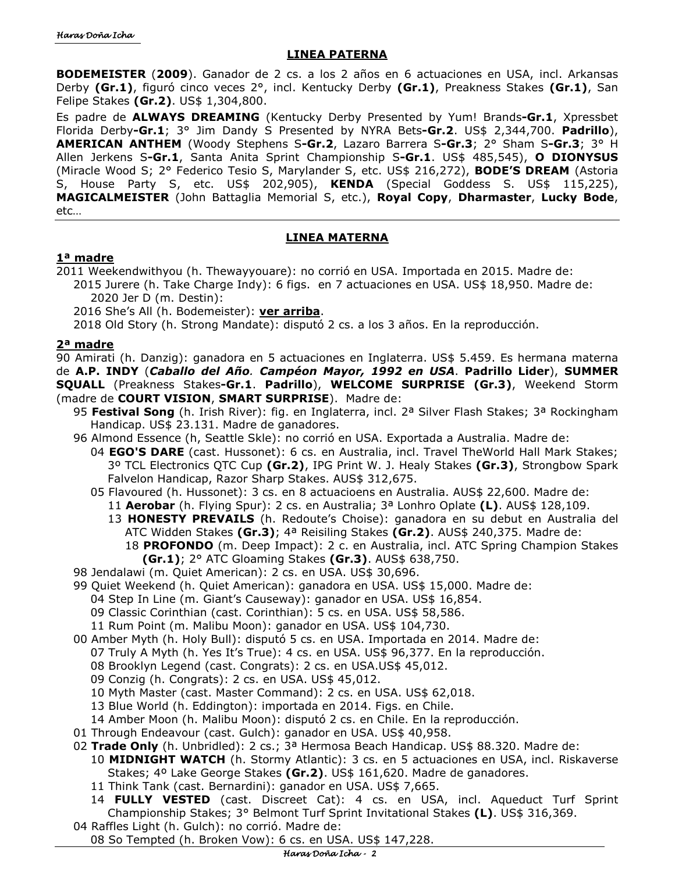# **LINEA PATERNA**

**BODEMEISTER** (**2009**). Ganador de 2 cs. a los 2 años en 6 actuaciones en USA, incl. Arkansas Derby **(Gr.1)**, figuró cinco veces 2°, incl. Kentucky Derby **(Gr.1)**, Preakness Stakes **(Gr.1)**, San Felipe Stakes **(Gr.2)**. US\$ 1,304,800.

Es padre de **ALWAYS DREAMING** (Kentucky Derby Presented by Yum! Brands**-Gr.1**, Xpressbet Florida Derby**-Gr.1**; 3° Jim Dandy S Presented by NYRA Bets**-Gr.2**. US\$ 2,344,700. **Padrillo**), **AMERICAN ANTHEM** (Woody Stephens S**-Gr.2**, Lazaro Barrera S**-Gr.3**; 2° Sham S**-Gr.3**; 3° H Allen Jerkens S**-Gr.1**, Santa Anita Sprint Championship S**-Gr.1**. US\$ 485,545), **O DIONYSUS** (Miracle Wood S; 2° Federico Tesio S, Marylander S, etc. US\$ 216,272), **BODE'S DREAM** (Astoria S, House Party S, etc. US\$ 202,905), **KENDA** (Special Goddess S. US\$ 115,225), **MAGICALMEISTER** (John Battaglia Memorial S, etc.), **Royal Copy**, **Dharmaster**, **Lucky Bode**, etc…

### **LINEA MATERNA**

# **1ª madre**

- 2011 Weekendwithyou (h. Thewayyouare): no corrió en USA. Importada en 2015. Madre de: 2015 Jurere (h. Take Charge Indy): 6 figs. en 7 actuaciones en USA. US\$ 18,950. Madre de: 2020 Jer D (m. Destin):
	- 2016 She's All (h. Bodemeister): **ver arriba**.

2018 Old Story (h. Strong Mandate): disputó 2 cs. a los 3 años. En la reproducción.

# **2ª madre**

90 Amirati (h. Danzig): ganadora en 5 actuaciones en Inglaterra. US\$ 5.459. Es hermana materna de **A.P. INDY** (*Caballo del Año. Campéon Mayor, 1992 en USA*. **Padrillo Lider**), **SUMMER SQUALL** (Preakness Stakes**-Gr.1**. **Padrillo**), **WELCOME SURPRISE (Gr.3)**, Weekend Storm (madre de **COURT VISION**, **SMART SURPRISE**). Madre de:

- 95 **Festival Song** (h. Irish River): fig. en Inglaterra, incl. 2ª Silver Flash Stakes; 3ª Rockingham Handicap. US\$ 23.131. Madre de ganadores.
- 96 Almond Essence (h, Seattle Skle): no corrió en USA. Exportada a Australia. Madre de:
	- 04 **EGO'S DARE** (cast. Hussonet): 6 cs. en Australia, incl. Travel TheWorld Hall Mark Stakes; 3º TCL Electronics QTC Cup **(Gr.2)**, IPG Print W. J. Healy Stakes **(Gr.3)**, Strongbow Spark Falvelon Handicap, Razor Sharp Stakes. AUS\$ 312,675.
	- 05 Flavoured (h. Hussonet): 3 cs. en 8 actuacioens en Australia. AUS\$ 22,600. Madre de:
		- 11 **Aerobar** (h. Flying Spur): 2 cs. en Australia; 3ª Lonhro Oplate **(L)**. AUS\$ 128,109. 13 **HONESTY PREVAILS** (h. Redoute's Choise): ganadora en su debut en Australia del ATC Widden Stakes **(Gr.3)**; 4ª Reisiling Stakes **(Gr.2)**. AUS\$ 240,375. Madre de: 18 **PROFONDO** (m. Deep Impact): 2 c. en Australia, incl. ATC Spring Champion Stakes **(Gr.1)**; 2° ATC Gloaming Stakes **(Gr.3)**. AUS\$ 638,750.
- 98 Jendalawi (m. Quiet American): 2 cs. en USA. US\$ 30,696.
- 99 Quiet Weekend (h. Quiet American): ganadora en USA. US\$ 15,000. Madre de:
	- 04 Step In Line (m. Giant's Causeway): ganador en USA. US\$ 16,854.
	- 09 Classic Corinthian (cast. Corinthian): 5 cs. en USA. US\$ 58,586.
	- 11 Rum Point (m. Malibu Moon): ganador en USA. US\$ 104,730.
- 00 Amber Myth (h. Holy Bull): disputó 5 cs. en USA. Importada en 2014. Madre de:
	- 07 Truly A Myth (h. Yes It's True): 4 cs. en USA. US\$ 96,377. En la reproducción.
	- 08 Brooklyn Legend (cast. Congrats): 2 cs. en USA.US\$ 45,012.
	- 09 Conzig (h. Congrats): 2 cs. en USA. US\$ 45,012.
	- 10 Myth Master (cast. Master Command): 2 cs. en USA. US\$ 62,018.
	- 13 Blue World (h. Eddington): importada en 2014. Figs. en Chile.
	- 14 Amber Moon (h. Malibu Moon): disputó 2 cs. en Chile. En la reproducción.
- 01 Through Endeavour (cast. Gulch): ganador en USA. US\$ 40,958.
- 02 **Trade Only** (h. Unbridled): 2 cs.; 3ª Hermosa Beach Handicap. US\$ 88.320. Madre de:
	- 10 **MIDNIGHT WATCH** (h. Stormy Atlantic): 3 cs. en 5 actuaciones en USA, incl. Riskaverse Stakes; 4º Lake George Stakes **(Gr.2)**. US\$ 161,620. Madre de ganadores.
	- 11 Think Tank (cast. Bernardini): ganador en USA. US\$ 7,665.
- 14 **FULLY VESTED** (cast. Discreet Cat): 4 cs. en USA, incl. Aqueduct Turf Sprint Championship Stakes; 3° Belmont Turf Sprint Invitational Stakes **(L)**. US\$ 316,369. 04 Raffles Light (h. Gulch): no corrió. Madre de:
	- 08 So Tempted (h. Broken Vow): 6 cs. en USA. US\$ 147,228.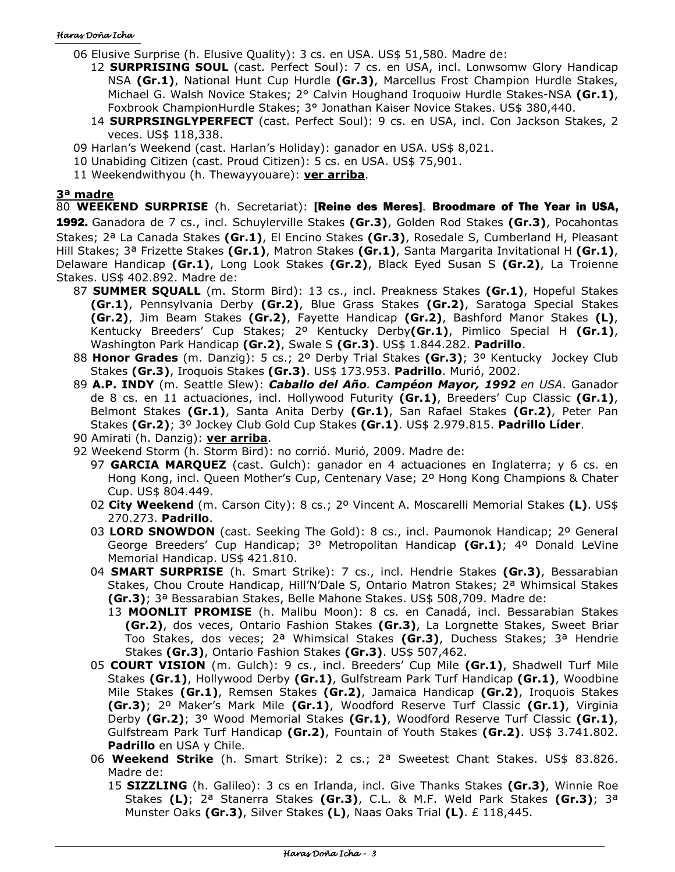- 06 Elusive Surprise (h. Elusive Quality): 3 cs. en USA. US\$ 51,580. Madre de:
	- 12 **SURPRISING SOUL** (cast. Perfect Soul): 7 cs. en USA, incl. Lonwsomw Glory Handicap NSA **(Gr.1)**, National Hunt Cup Hurdle **(Gr.3)**, Marcellus Frost Champion Hurdle Stakes, Michael G. Walsh Novice Stakes; 2° Calvin Houghand Iroquoiw Hurdle Stakes-NSA **(Gr.1)**, Foxbrook ChampionHurdle Stakes; 3° Jonathan Kaiser Novice Stakes. US\$ 380,440.
	- 14 **SURPRSINGLYPERFECT** (cast. Perfect Soul): 9 cs. en USA, incl. Con Jackson Stakes, 2 veces. US\$ 118,338.
- 09 Harlan's Weekend (cast. Harlan's Holiday): ganador en USA. US\$ 8,021.
- 10 Unabiding Citizen (cast. Proud Citizen): 5 cs. en USA. US\$ 75,901.
- 11 Weekendwithyou (h. Thewayyouare): **ver arriba**.

# **3ª madre**

80 **WEEKEND SURPRISE** (h. Secretariat): [Reine des Meres]. Broodmare of The Year in USA, 1992. Ganadora de 7 cs., incl. Schuylerville Stakes **(Gr.3)**, Golden Rod Stakes **(Gr.3)**, Pocahontas Stakes; 2ª La Canada Stakes **(Gr.1)**, El Encino Stakes **(Gr.3)**, Rosedale S, Cumberland H, Pleasant Hill Stakes; 3ª Frizette Stakes **(Gr.1)**, Matron Stakes **(Gr.1)**, Santa Margarita Invitational H **(Gr.1)**, Delaware Handicap **(Gr.1)**, Long Look Stakes **(Gr.2)**, Black Eyed Susan S **(Gr.2)**, La Troienne Stakes. US\$ 402.892. Madre de:

- 87 **SUMMER SQUALL** (m. Storm Bird): 13 cs., incl. Preakness Stakes **(Gr.1)**, Hopeful Stakes **(Gr.1)**, Pennsylvania Derby **(Gr.2)**, Blue Grass Stakes **(Gr.2)**, Saratoga Special Stakes **(Gr.2)**, Jim Beam Stakes **(Gr.2)**, Fayette Handicap **(Gr.2)**, Bashford Manor Stakes **(L)**, Kentucky Breeders' Cup Stakes; 2º Kentucky Derby**(Gr.1)**, Pimlico Special H **(Gr.1)**, Washington Park Handicap **(Gr.2)**, Swale S **(Gr.3)**. US\$ 1.844.282. **Padrillo**.
- 88 **Honor Grades** (m. Danzig): 5 cs.; 2º Derby Trial Stakes **(Gr.3)**; 3º Kentucky Jockey Club Stakes **(Gr.3)**, Iroquois Stakes **(Gr.3)**. US\$ 173.953. **Padrillo**. Murió, 2002.
- 89 **A.P. INDY** (m. Seattle Slew): *Caballo del Año. Campéon Mayor, 1992 en USA*. Ganador de 8 cs. en 11 actuaciones, incl. Hollywood Futurity **(Gr.1)**, Breeders' Cup Classic **(Gr.1)**, Belmont Stakes **(Gr.1)**, Santa Anita Derby **(Gr.1)**, San Rafael Stakes **(Gr.2)**, Peter Pan Stakes **(Gr.2)**; 3º Jockey Club Gold Cup Stakes **(Gr.1)**. US\$ 2.979.815. **Padrillo Líder**.
- 90 Amirati (h. Danzig): **ver arriba**.
- 92 Weekend Storm (h. Storm Bird): no corrió. Murió, 2009. Madre de:
	- 97 **GARCIA MARQUEZ** (cast. Gulch): ganador en 4 actuaciones en Inglaterra; y 6 cs. en Hong Kong, incl. Queen Mother's Cup, Centenary Vase; 2º Hong Kong Champions & Chater Cup. US\$ 804.449.
	- 02 **City Weekend** (m. Carson City): 8 cs.; 2º Vincent A. Moscarelli Memorial Stakes **(L)**. US\$ 270.273. **Padrillo**.
	- 03 **LORD SNOWDON** (cast. Seeking The Gold): 8 cs., incl. Paumonok Handicap; 2º General George Breeders' Cup Handicap; 3º Metropolitan Handicap **(Gr.1)**; 4º Donald LeVine Memorial Handicap. US\$ 421.810.
	- 04 **SMART SURPRISE** (h. Smart Strike): 7 cs., incl. Hendrie Stakes **(Gr.3)**, Bessarabian Stakes, Chou Croute Handicap, Hill'N'Dale S, Ontario Matron Stakes; 2ª Whimsical Stakes **(Gr.3)**; 3ª Bessarabian Stakes, Belle Mahone Stakes. US\$ 508,709. Madre de:
		- 13 **MOONLIT PROMISE** (h. Malibu Moon): 8 cs. en Canadá, incl. Bessarabian Stakes **(Gr.2)**, dos veces, Ontario Fashion Stakes **(Gr.3)**, La Lorgnette Stakes, Sweet Briar Too Stakes, dos veces; 2ª Whimsical Stakes **(Gr.3)**, Duchess Stakes; 3ª Hendrie Stakes **(Gr.3)**, Ontario Fashion Stakes **(Gr.3)**. US\$ 507,462.
	- 05 **COURT VISION** (m. Gulch): 9 cs., incl. Breeders' Cup Mile **(Gr.1)**, Shadwell Turf Mile Stakes **(Gr.1)**, Hollywood Derby **(Gr.1)**, Gulfstream Park Turf Handicap **(Gr.1)**, Woodbine Mile Stakes **(Gr.1)**, Remsen Stakes **(Gr.2)**, Jamaica Handicap **(Gr.2)**, Iroquois Stakes **(Gr.3)**; 2º Maker's Mark Mile **(Gr.1)**, Woodford Reserve Turf Classic **(Gr.1)**, Virginia Derby **(Gr.2)**; 3º Wood Memorial Stakes **(Gr.1)**, Woodford Reserve Turf Classic **(Gr.1)**, Gulfstream Park Turf Handicap **(Gr.2)**, Fountain of Youth Stakes **(Gr.2)**. US\$ 3.741.802. **Padrillo** en USA y Chile.
	- 06 **Weekend Strike** (h. Smart Strike): 2 cs.; 2ª Sweetest Chant Stakes. US\$ 83.826. Madre de:
		- 15 **SIZZLING** (h. Galileo): 3 cs en Irlanda, incl. Give Thanks Stakes **(Gr.3)**, Winnie Roe Stakes **(L)**; 2ª Stanerra Stakes **(Gr.3)**, C.L. & M.F. Weld Park Stakes **(Gr.3)**; 3ª Munster Oaks **(Gr.3)**, Silver Stakes **(L)**, Naas Oaks Trial **(L)**. £ 118,445.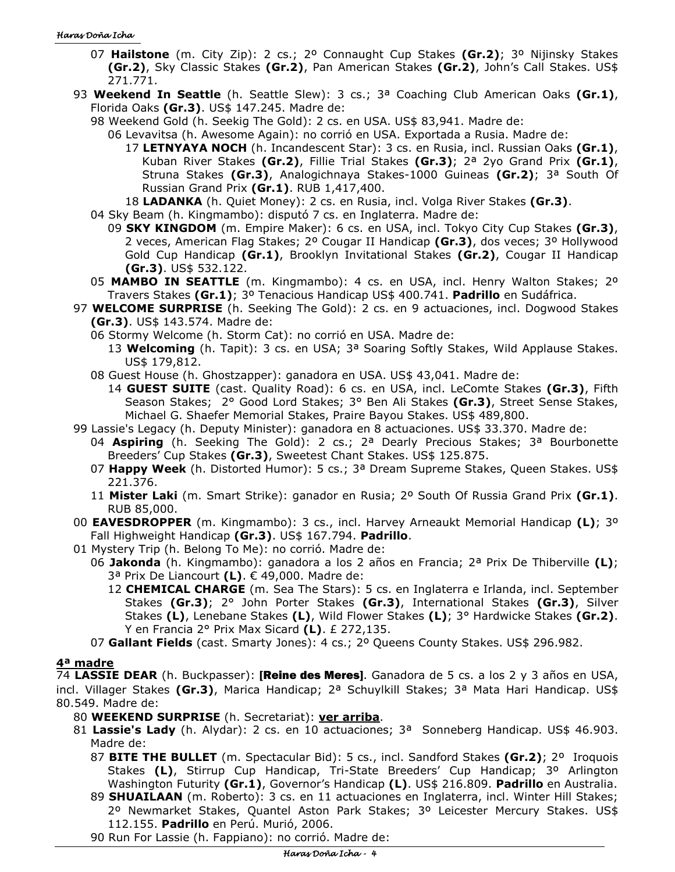- 07 **Hailstone** (m. City Zip): 2 cs.; 2º Connaught Cup Stakes **(Gr.2)**; 3º Nijinsky Stakes **(Gr.2)**, Sky Classic Stakes **(Gr.2)**, Pan American Stakes **(Gr.2)**, John's Call Stakes. US\$ 271.771.
- 93 **Weekend In Seattle** (h. Seattle Slew): 3 cs.; 3ª Coaching Club American Oaks **(Gr.1)**, Florida Oaks **(Gr.3)**. US\$ 147.245. Madre de:
	- 98 Weekend Gold (h. Seekig The Gold): 2 cs. en USA. US\$ 83,941. Madre de:
		- 06 Levavitsa (h. Awesome Again): no corrió en USA. Exportada a Rusia. Madre de:
			- 17 **LETNYAYA NOCH** (h. Incandescent Star): 3 cs. en Rusia, incl. Russian Oaks **(Gr.1)**, Kuban River Stakes **(Gr.2)**, Fillie Trial Stakes **(Gr.3)**; 2ª 2yo Grand Prix **(Gr.1)**, Struna Stakes **(Gr.3)**, Analogichnaya Stakes-1000 Guineas **(Gr.2)**; 3ª South Of Russian Grand Prix **(Gr.1)**. RUB 1,417,400.
		- 18 **LADANKA** (h. Quiet Money): 2 cs. en Rusia, incl. Volga River Stakes **(Gr.3)**.
	- 04 Sky Beam (h. Kingmambo): disputó 7 cs. en Inglaterra. Madre de:
		- 09 **SKY KINGDOM** (m. Empire Maker): 6 cs. en USA, incl. Tokyo City Cup Stakes **(Gr.3)**, 2 veces, American Flag Stakes; 2º Cougar II Handicap **(Gr.3)**, dos veces; 3º Hollywood Gold Cup Handicap **(Gr.1)**, Brooklyn Invitational Stakes **(Gr.2)**, Cougar II Handicap **(Gr.3)**. US\$ 532.122.
	- 05 **MAMBO IN SEATTLE** (m. Kingmambo): 4 cs. en USA, incl. Henry Walton Stakes; 2º Travers Stakes **(Gr.1)**; 3º Tenacious Handicap US\$ 400.741. **Padrillo** en Sudáfrica.
- 97 **WELCOME SURPRISE** (h. Seeking The Gold): 2 cs. en 9 actuaciones, incl. Dogwood Stakes **(Gr.3)**. US\$ 143.574. Madre de:
	- 06 Stormy Welcome (h. Storm Cat): no corrió en USA. Madre de:
		- 13 **Welcoming** (h. Tapit): 3 cs. en USA; 3ª Soaring Softly Stakes, Wild Applause Stakes. US\$ 179,812.
	- 08 Guest House (h. Ghostzapper): ganadora en USA. US\$ 43,041. Madre de:
		- 14 **GUEST SUITE** (cast. Quality Road): 6 cs. en USA, incl. LeComte Stakes **(Gr.3)**, Fifth Season Stakes; 2° Good Lord Stakes; 3° Ben Ali Stakes **(Gr.3)**, Street Sense Stakes, Michael G. Shaefer Memorial Stakes, Praire Bayou Stakes. US\$ 489,800.
- 99 Lassie's Legacy (h. Deputy Minister): ganadora en 8 actuaciones. US\$ 33.370. Madre de:
	- 04 **Aspiring** (h. Seeking The Gold): 2 cs.; 2ª Dearly Precious Stakes; 3ª Bourbonette Breeders' Cup Stakes **(Gr.3)**, Sweetest Chant Stakes. US\$ 125.875.
	- 07 **Happy Week** (h. Distorted Humor): 5 cs.; 3ª Dream Supreme Stakes, Queen Stakes. US\$ 221.376.
	- 11 **Mister Laki** (m. Smart Strike): ganador en Rusia; 2º South Of Russia Grand Prix **(Gr.1)**. RUB 85,000.
- 00 **EAVESDROPPER** (m. Kingmambo): 3 cs., incl. Harvey Arneaukt Memorial Handicap **(L)**; 3º Fall Highweight Handicap **(Gr.3)**. US\$ 167.794. **Padrillo**.
- 01 Mystery Trip (h. Belong To Me): no corrió. Madre de:
	- 06 **Jakonda** (h. Kingmambo): ganadora a los 2 años en Francia; 2ª Prix De Thiberville **(L)**; 3ª Prix De Liancourt **(L)**. € 49,000. Madre de:
		- 12 **CHEMICAL CHARGE** (m. Sea The Stars): 5 cs. en Inglaterra e Irlanda, incl. September Stakes **(Gr.3)**; 2° John Porter Stakes **(Gr.3)**, International Stakes **(Gr.3)**, Silver Stakes **(L)**, Lenebane Stakes **(L)**, Wild Flower Stakes **(L)**; 3° Hardwicke Stakes **(Gr.2)**. Y en Francia 2° Prix Max Sicard **(L)**. £ 272,135.
	- 07 **Gallant Fields** (cast. Smarty Jones): 4 cs.; 2º Queens County Stakes. US\$ 296.982.

# **4ª madre**

74 **LASSIE DEAR** (h. Buckpasser): [Reine des Meres]. Ganadora de 5 cs. a los 2 y 3 años en USA, incl. Villager Stakes **(Gr.3)**, Marica Handicap; 2ª Schuylkill Stakes; 3ª Mata Hari Handicap. US\$ 80.549. Madre de:

- 80 **WEEKEND SURPRISE** (h. Secretariat): **ver arriba**.
- 81 **Lassie's Lady** (h. Alydar): 2 cs. en 10 actuaciones; 3ª Sonneberg Handicap. US\$ 46.903. Madre de:
	- 87 **BITE THE BULLET** (m. Spectacular Bid): 5 cs., incl. Sandford Stakes **(Gr.2)**; 2º Iroquois Stakes **(L)**, Stirrup Cup Handicap, Tri-State Breeders' Cup Handicap; 3º Arlington Washington Futurity **(Gr.1)**, Governor's Handicap **(L)**. US\$ 216.809. **Padrillo** en Australia.
	- 89 **SHUAILAAN** (m. Roberto): 3 cs. en 11 actuaciones en Inglaterra, incl. Winter Hill Stakes; 2º Newmarket Stakes, Quantel Aston Park Stakes; 3º Leicester Mercury Stakes. US\$ 112.155. **Padrillo** en Perú. Murió, 2006.

90 Run For Lassie (h. Fappiano): no corrió. Madre de: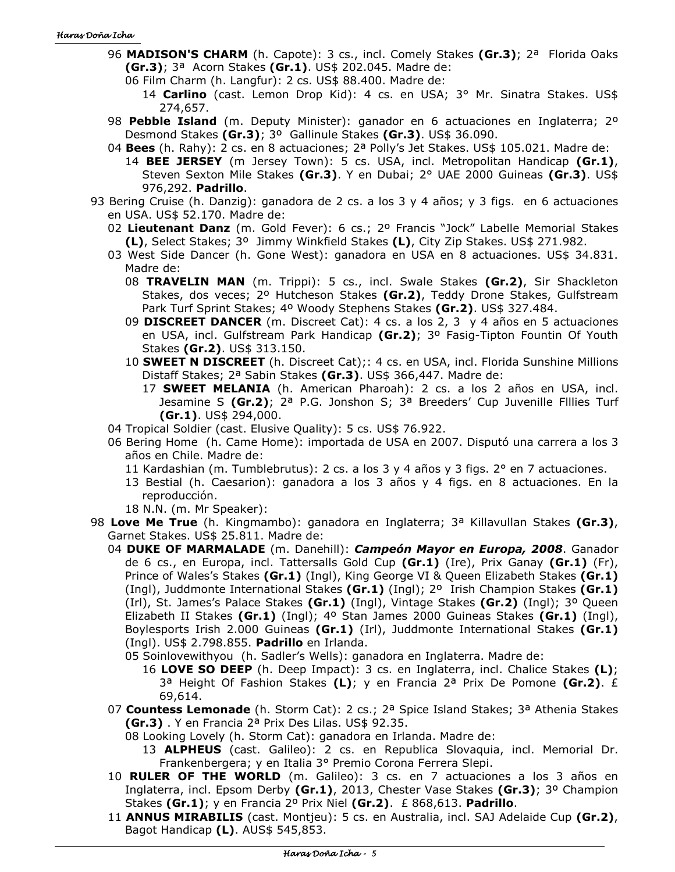- 96 **MADISON'S CHARM** (h. Capote): 3 cs., incl. Comely Stakes **(Gr.3)**; 2ª Florida Oaks **(Gr.3)**; 3ª Acorn Stakes **(Gr.1)**. US\$ 202.045. Madre de:
	- 06 Film Charm (h. Langfur): 2 cs. US\$ 88.400. Madre de:
		- 14 **Carlino** (cast. Lemon Drop Kid): 4 cs. en USA; 3° Mr. Sinatra Stakes. US\$ 274,657.
- 98 **Pebble Island** (m. Deputy Minister): ganador en 6 actuaciones en Inglaterra; 2º Desmond Stakes **(Gr.3)**; 3º Gallinule Stakes **(Gr.3)**. US\$ 36.090.
- 04 **Bees** (h. Rahy): 2 cs. en 8 actuaciones; 2ª Polly's Jet Stakes. US\$ 105.021. Madre de:
	- 14 **BEE JERSEY** (m Jersey Town): 5 cs. USA, incl. Metropolitan Handicap **(Gr.1)**, Steven Sexton Mile Stakes **(Gr.3)**. Y en Dubai; 2° UAE 2000 Guineas **(Gr.3)**. US\$ 976,292. **Padrillo**.
- 93 Bering Cruise (h. Danzig): ganadora de 2 cs. a los 3 y 4 años; y 3 figs. en 6 actuaciones en USA. US\$ 52.170. Madre de:
	- 02 **Lieutenant Danz** (m. Gold Fever): 6 cs.; 2º Francis "Jock" Labelle Memorial Stakes **(L)**, Select Stakes; 3º Jimmy Winkfield Stakes **(L)**, City Zip Stakes. US\$ 271.982.
	- 03 West Side Dancer (h. Gone West): ganadora en USA en 8 actuaciones. US\$ 34.831. Madre de:
		- 08 **TRAVELIN MAN** (m. Trippi): 5 cs., incl. Swale Stakes **(Gr.2)**, Sir Shackleton Stakes, dos veces; 2º Hutcheson Stakes **(Gr.2)**, Teddy Drone Stakes, Gulfstream Park Turf Sprint Stakes; 4º Woody Stephens Stakes **(Gr.2)**. US\$ 327.484.
		- 09 **DISCREET DANCER** (m. Discreet Cat): 4 cs. a los 2, 3 y 4 años en 5 actuaciones en USA, incl. Gulfstream Park Handicap **(Gr.2)**; 3º Fasig-Tipton Fountin Of Youth Stakes **(Gr.2)**. US\$ 313.150.
		- 10 **SWEET N DISCREET** (h. Discreet Cat);: 4 cs. en USA, incl. Florida Sunshine Millions Distaff Stakes; 2ª Sabin Stakes **(Gr.3)**. US\$ 366,447. Madre de:
			- 17 **SWEET MELANIA** (h. American Pharoah): 2 cs. a los 2 años en USA, incl. Jesamine S **(Gr.2)**; 2ª P.G. Jonshon S; 3ª Breeders' Cup Juvenille Flllies Turf **(Gr.1)**. US\$ 294,000.
	- 04 Tropical Soldier (cast. Elusive Quality): 5 cs. US\$ 76.922.
	- 06 Bering Home (h. Came Home): importada de USA en 2007. Disputó una carrera a los 3 años en Chile. Madre de:
		- 11 Kardashian (m. Tumblebrutus): 2 cs. a los 3 y 4 años y 3 figs. 2° en 7 actuaciones.
		- 13 Bestial (h. Caesarion): ganadora a los 3 años y 4 figs. en 8 actuaciones. En la reproducción.

18 N.N. (m. Mr Speaker):

- 98 **Love Me True** (h. Kingmambo): ganadora en Inglaterra; 3ª Killavullan Stakes **(Gr.3)**, Garnet Stakes. US\$ 25.811. Madre de:
	- 04 **DUKE OF MARMALADE** (m. Danehill): *Campeón Mayor en Europa, 2008*. Ganador de 6 cs., en Europa, incl. Tattersalls Gold Cup **(Gr.1)** (Ire), Prix Ganay **(Gr.1)** (Fr), Prince of Wales's Stakes **(Gr.1)** (Ingl), King George VI & Queen Elizabeth Stakes **(Gr.1)**  (Ingl), Juddmonte International Stakes **(Gr.1)** (Ingl); 2º Irish Champion Stakes **(Gr.1)**  (Irl), St. James's Palace Stakes **(Gr.1)** (Ingl), Vintage Stakes **(Gr.2)** (Ingl); 3º Queen Elizabeth II Stakes **(Gr.1)** (Ingl); 4º Stan James 2000 Guineas Stakes **(Gr.1)** (Ingl), Boylesports Irish 2.000 Guineas **(Gr.1)** (Irl), Juddmonte International Stakes **(Gr.1)** (Ingl). US\$ 2.798.855. **Padrillo** en Irlanda.

05 Soinlovewithyou (h. Sadler's Wells): ganadora en Inglaterra. Madre de:

- 16 **LOVE SO DEEP** (h. Deep Impact): 3 cs. en Inglaterra, incl. Chalice Stakes **(L)**; 3ª Height Of Fashion Stakes **(L)**; y en Francia 2ª Prix De Pomone **(Gr.2)**. £ 69,614.
- 07 **Countess Lemonade** (h. Storm Cat): 2 cs.; 2ª Spice Island Stakes; 3ª Athenia Stakes **(Gr.3)** . Y en Francia 2ª Prix Des Lilas. US\$ 92.35.
	- 08 Looking Lovely (h. Storm Cat): ganadora en Irlanda. Madre de:
		- 13 **ALPHEUS** (cast. Galileo): 2 cs. en Republica Slovaquia, incl. Memorial Dr. Frankenbergera; y en Italia 3° Premio Corona Ferrera Slepi.
- 10 **RULER OF THE WORLD** (m. Galileo): 3 cs. en 7 actuaciones a los 3 años en Inglaterra, incl. Epsom Derby **(Gr.1)**, 2013, Chester Vase Stakes **(Gr.3)**; 3º Champion Stakes **(Gr.1)**; y en Francia 2º Prix Niel **(Gr.2)**. £ 868,613. **Padrillo**.
- 11 **ANNUS MIRABILIS** (cast. Montjeu): 5 cs. en Australia, incl. SAJ Adelaide Cup **(Gr.2)**, Bagot Handicap **(L)**. AUS\$ 545,853.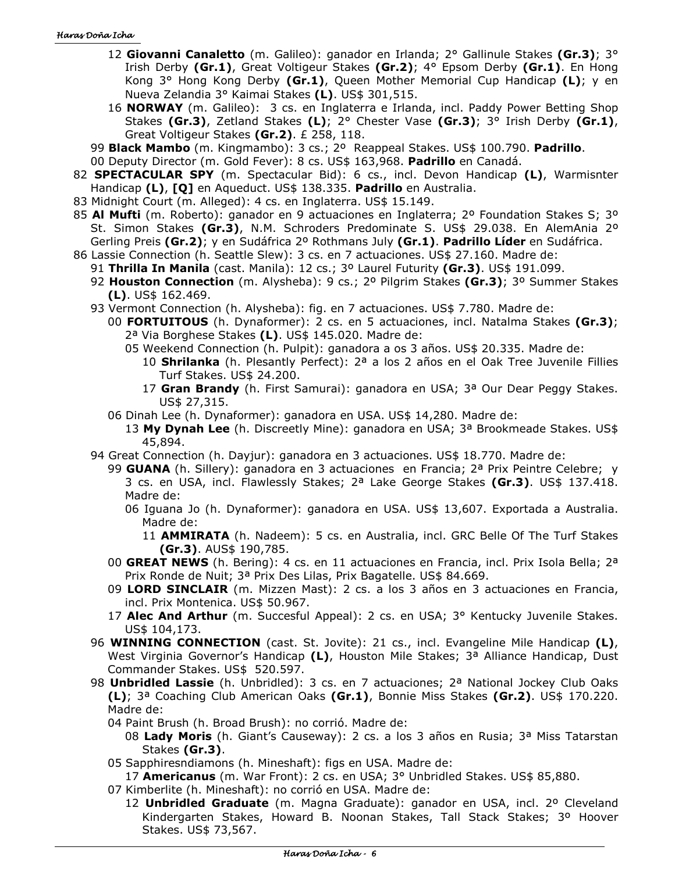- 12 **Giovanni Canaletto** (m. Galileo): ganador en Irlanda; 2° Gallinule Stakes **(Gr.3)**; 3° Irish Derby **(Gr.1)**, Great Voltigeur Stakes **(Gr.2)**; 4° Epsom Derby **(Gr.1)**. En Hong Kong 3° Hong Kong Derby **(Gr.1)**, Queen Mother Memorial Cup Handicap **(L)**; y en Nueva Zelandia 3° Kaimai Stakes **(L)**. US\$ 301,515.
- 16 **NORWAY** (m. Galileo): 3 cs. en Inglaterra e Irlanda, incl. Paddy Power Betting Shop Stakes **(Gr.3)**, Zetland Stakes **(L)**; 2° Chester Vase **(Gr.3)**; 3° Irish Derby **(Gr.1)**, Great Voltigeur Stakes **(Gr.2)**. £ 258, 118.
- 99 **Black Mambo** (m. Kingmambo): 3 cs.; 2º Reappeal Stakes. US\$ 100.790. **Padrillo**.
- 00 Deputy Director (m. Gold Fever): 8 cs. US\$ 163,968. **Padrillo** en Canadá.
- 82 **SPECTACULAR SPY** (m. Spectacular Bid): 6 cs., incl. Devon Handicap **(L)**, Warmisnter Handicap **(L)**, **[Q]** en Aqueduct. US\$ 138.335. **Padrillo** en Australia.
- 83 Midnight Court (m. Alleged): 4 cs. en Inglaterra. US\$ 15.149.
- 85 **Al Mufti** (m. Roberto): ganador en 9 actuaciones en Inglaterra; 2º Foundation Stakes S; 3º St. Simon Stakes **(Gr.3)**, N.M. Schroders Predominate S. US\$ 29.038. En AlemAnia 2º Gerling Preis **(Gr.2)**; y en Sudáfrica 2º Rothmans July **(Gr.1)**. **Padrillo Líder** en Sudáfrica.
- 86 Lassie Connection (h. Seattle Slew): 3 cs. en 7 actuaciones. US\$ 27.160. Madre de:
	- 91 **Thrilla In Manila** (cast. Manila): 12 cs.; 3º Laurel Futurity **(Gr.3)**. US\$ 191.099. 92 **Houston Connection** (m. Alysheba): 9 cs.; 2º Pilgrim Stakes **(Gr.3)**; 3º Summer Stakes
		- **(L)**. US\$ 162.469.
	- 93 Vermont Connection (h. Alysheba): fig. en 7 actuaciones. US\$ 7.780. Madre de:
		- 00 **FORTUITOUS** (h. Dynaformer): 2 cs. en 5 actuaciones, incl. Natalma Stakes **(Gr.3)**; 2ª Via Borghese Stakes **(L)**. US\$ 145.020. Madre de:
			- 05 Weekend Connection (h. Pulpit): ganadora a os 3 años. US\$ 20.335. Madre de:
				- 10 **Shrilanka** (h. Plesantly Perfect): 2ª a los 2 años en el Oak Tree Juvenile Fillies Turf Stakes. US\$ 24.200.
				- 17 **Gran Brandy** (h. First Samurai): ganadora en USA; 3ª Our Dear Peggy Stakes. US\$ 27,315.
		- 06 Dinah Lee (h. Dynaformer): ganadora en USA. US\$ 14,280. Madre de:
			- 13 **My Dynah Lee** (h. Discreetly Mine): ganadora en USA; 3ª Brookmeade Stakes. US\$ 45,894.
	- 94 Great Connection (h. Dayjur): ganadora en 3 actuaciones. US\$ 18.770. Madre de:
		- 99 **GUANA** (h. Sillery): ganadora en 3 actuaciones en Francia; 2ª Prix Peintre Celebre; y 3 cs. en USA, incl. Flawlessly Stakes; 2ª Lake George Stakes **(Gr.3)**. US\$ 137.418. Madre de:
			- 06 Iguana Jo (h. Dynaformer): ganadora en USA. US\$ 13,607. Exportada a Australia. Madre de:
				- 11 **AMMIRATA** (h. Nadeem): 5 cs. en Australia, incl. GRC Belle Of The Turf Stakes **(Gr.3)**. AUS\$ 190,785.
		- 00 **GREAT NEWS** (h. Bering): 4 cs. en 11 actuaciones en Francia, incl. Prix Isola Bella; 2ª Prix Ronde de Nuit; 3ª Prix Des Lilas, Prix Bagatelle. US\$ 84.669.
		- 09 **LORD SINCLAIR** (m. Mizzen Mast): 2 cs. a los 3 años en 3 actuaciones en Francia, incl. Prix Montenica. US\$ 50.967.
		- 17 **Alec And Arthur** (m. Succesful Appeal): 2 cs. en USA; 3° Kentucky Juvenile Stakes. US\$ 104,173.
	- 96 **WINNING CONNECTION** (cast. St. Jovite): 21 cs., incl. Evangeline Mile Handicap **(L)**, West Virginia Governor's Handicap **(L)**, Houston Mile Stakes; 3ª Alliance Handicap, Dust Commander Stakes. US\$ 520.597.
	- 98 **Unbridled Lassie** (h. Unbridled): 3 cs. en 7 actuaciones; 2ª National Jockey Club Oaks **(L)**; 3ª Coaching Club American Oaks **(Gr.1)**, Bonnie Miss Stakes **(Gr.2)**. US\$ 170.220. Madre de:
		- 04 Paint Brush (h. Broad Brush): no corrió. Madre de:
			- 08 **Lady Moris** (h. Giant's Causeway): 2 cs. a los 3 años en Rusia; 3ª Miss Tatarstan Stakes **(Gr.3)**.
		- 05 Sapphiresndiamons (h. Mineshaft): figs en USA. Madre de:
			- 17 **Americanus** (m. War Front): 2 cs. en USA; 3° Unbridled Stakes. US\$ 85,880.
		- 07 Kimberlite (h. Mineshaft): no corrió en USA. Madre de:
			- 12 **Unbridled Graduate** (m. Magna Graduate): ganador en USA, incl. 2º Cleveland Kindergarten Stakes, Howard B. Noonan Stakes, Tall Stack Stakes; 3º Hoover Stakes. US\$ 73,567.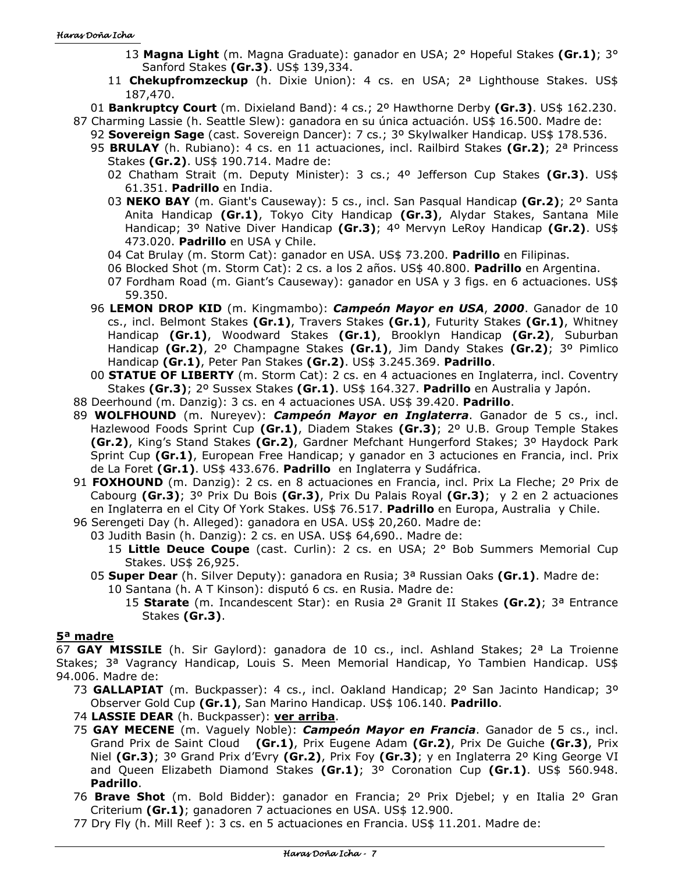- 13 **Magna Light** (m. Magna Graduate): ganador en USA; 2° Hopeful Stakes **(Gr.1)**; 3° Sanford Stakes **(Gr.3)**. US\$ 139,334.
- 11 **Chekupfromzeckup** (h. Dixie Union): 4 cs. en USA; 2ª Lighthouse Stakes. US\$ 187,470.
- 01 **Bankruptcy Court** (m. Dixieland Band): 4 cs.; 2º Hawthorne Derby **(Gr.3)**. US\$ 162.230.
- 87 Charming Lassie (h. Seattle Slew): ganadora en su única actuación. US\$ 16.500. Madre de: 92 **Sovereign Sage** (cast. Sovereign Dancer): 7 cs.; 3º Skylwalker Handicap. US\$ 178.536.
	- 95 **BRULAY** (h. Rubiano): 4 cs. en 11 actuaciones, incl. Railbird Stakes **(Gr.2)**; 2ª Princess Stakes **(Gr.2)**. US\$ 190.714. Madre de:
		- 02 Chatham Strait (m. Deputy Minister): 3 cs.; 4º Jefferson Cup Stakes **(Gr.3)**. US\$ 61.351. **Padrillo** en India.
		- 03 **NEKO BAY** (m. Giant's Causeway): 5 cs., incl. San Pasqual Handicap **(Gr.2)**; 2º Santa Anita Handicap **(Gr.1)**, Tokyo City Handicap **(Gr.3)**, Alydar Stakes, Santana Mile Handicap; 3º Native Diver Handicap **(Gr.3)**; 4º Mervyn LeRoy Handicap **(Gr.2)**. US\$ 473.020. **Padrillo** en USA y Chile.
		- 04 Cat Brulay (m. Storm Cat): ganador en USA. US\$ 73.200. **Padrillo** en Filipinas.
		- 06 Blocked Shot (m. Storm Cat): 2 cs. a los 2 años. US\$ 40.800. **Padrillo** en Argentina.
		- 07 Fordham Road (m. Giant's Causeway): ganador en USA y 3 figs. en 6 actuaciones. US\$ 59.350.
	- 96 **LEMON DROP KID** (m. Kingmambo): *Campeón Mayor en USA*, *2000*. Ganador de 10 cs., incl. Belmont Stakes **(Gr.1)**, Travers Stakes **(Gr.1)**, Futurity Stakes **(Gr.1)**, Whitney Handicap **(Gr.1)**, Woodward Stakes **(Gr.1)**, Brooklyn Handicap **(Gr.2)**, Suburban Handicap **(Gr.2)**, 2º Champagne Stakes **(Gr.1)**, Jim Dandy Stakes **(Gr.2)**; 3º Pimlico Handicap **(Gr.1)**, Peter Pan Stakes **(Gr.2)**. US\$ 3.245.369. **Padrillo**.
	- 00 **STATUE OF LIBERTY** (m. Storm Cat): 2 cs. en 4 actuaciones en Inglaterra, incl. Coventry Stakes **(Gr.3)**; 2º Sussex Stakes **(Gr.1)**. US\$ 164.327. **Padrillo** en Australia y Japón.
- 88 Deerhound (m. Danzig): 3 cs. en 4 actuaciones USA. US\$ 39.420. **Padrillo**.
- 89 **WOLFHOUND** (m. Nureyev): *Campeón Mayor en Inglaterra*. Ganador de 5 cs., incl. Hazlewood Foods Sprint Cup **(Gr.1)**, Diadem Stakes **(Gr.3)**; 2º U.B. Group Temple Stakes **(Gr.2)**, King's Stand Stakes **(Gr.2)**, Gardner Mefchant Hungerford Stakes; 3º Haydock Park Sprint Cup **(Gr.1)**, European Free Handicap; y ganador en 3 actuciones en Francia, incl. Prix de La Foret **(Gr.1)**. US\$ 433.676. **Padrillo** en Inglaterra y Sudáfrica.
- 91 **FOXHOUND** (m. Danzig): 2 cs. en 8 actuaciones en Francia, incl. Prix La Fleche; 2º Prix de Cabourg **(Gr.3)**; 3º Prix Du Bois **(Gr.3)**, Prix Du Palais Royal **(Gr.3)**; y 2 en 2 actuaciones en Inglaterra en el City Of York Stakes. US\$ 76.517. **Padrillo** en Europa, Australia y Chile.
- 96 Serengeti Day (h. Alleged): ganadora en USA. US\$ 20,260. Madre de:
	- 03 Judith Basin (h. Danzig): 2 cs. en USA. US\$ 64,690.. Madre de:
		- 15 **Little Deuce Coupe** (cast. Curlin): 2 cs. en USA; 2° Bob Summers Memorial Cup Stakes. US\$ 26,925.
	- 05 **Super Dear** (h. Silver Deputy): ganadora en Rusia; 3ª Russian Oaks **(Gr.1)**. Madre de:
		- 10 Santana (h. A T Kinson): disputó 6 cs. en Rusia. Madre de:
			- 15 **Starate** (m. Incandescent Star): en Rusia 2ª Granit II Stakes **(Gr.2)**; 3ª Entrance Stakes **(Gr.3)**.

### **5ª madre**

67 **GAY MISSILE** (h. Sir Gaylord): ganadora de 10 cs., incl. Ashland Stakes; 2ª La Troienne Stakes; 3ª Vagrancy Handicap, Louis S. Meen Memorial Handicap, Yo Tambien Handicap. US\$ 94.006. Madre de:

- 73 **GALLAPIAT** (m. Buckpasser): 4 cs., incl. Oakland Handicap; 2º San Jacinto Handicap; 3º Observer Gold Cup **(Gr.1)**, San Marino Handicap. US\$ 106.140. **Padrillo**.
- 74 **LASSIE DEAR** (h. Buckpasser): **ver arriba**.
- 75 **GAY MECENE** (m. Vaguely Noble): *Campeón Mayor en Francia*. Ganador de 5 cs., incl. Grand Prix de Saint Cloud **(Gr.1)**, Prix Eugene Adam **(Gr.2)**, Prix De Guiche **(Gr.3)**, Prix Niel **(Gr.3)**; 3º Grand Prix d'Evry **(Gr.2)**, Prix Foy **(Gr.3)**; y en Inglaterra 2º King George VI and Queen Elizabeth Diamond Stakes **(Gr.1)**; 3º Coronation Cup **(Gr.1)**. US\$ 560.948. **Padrillo**.
- 76 **Brave Shot** (m. Bold Bidder): ganador en Francia; 2º Prix Djebel; y en Italia 2º Gran Criterium **(Gr.1)**; ganadoren 7 actuaciones en USA. US\$ 12.900.
- 77 Dry Fly (h. Mill Reef ): 3 cs. en 5 actuaciones en Francia. US\$ 11.201. Madre de: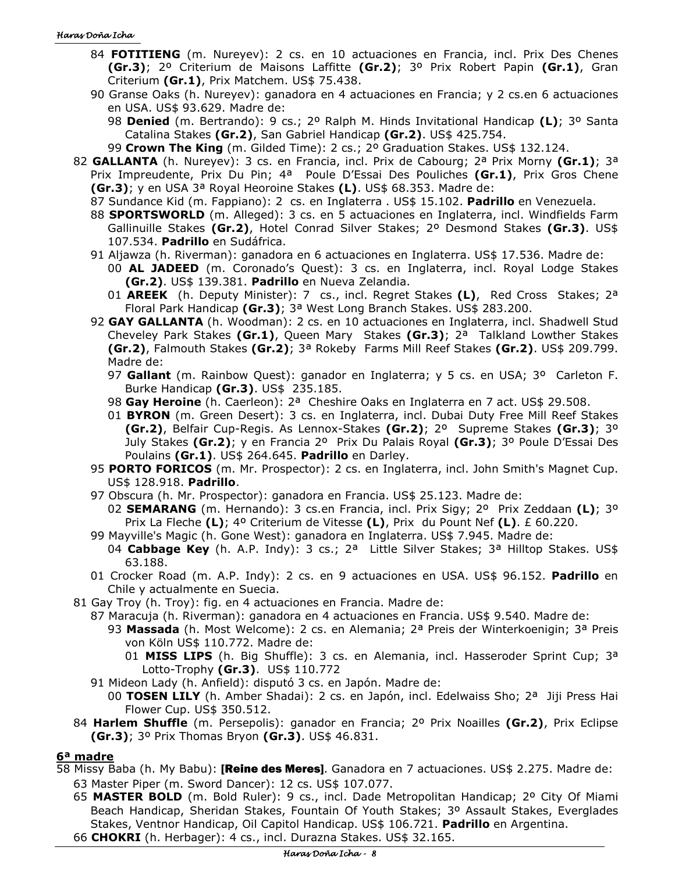- 84 **FOTITIENG** (m. Nureyev): 2 cs. en 10 actuaciones en Francia, incl. Prix Des Chenes **(Gr.3)**; 2º Criterium de Maisons Laffitte **(Gr.2)**; 3º Prix Robert Papin **(Gr.1)**, Gran Criterium **(Gr.1)**, Prix Matchem. US\$ 75.438.
- 90 Granse Oaks (h. Nureyev): ganadora en 4 actuaciones en Francia; y 2 cs.en 6 actuaciones en USA. US\$ 93.629. Madre de:
	- 98 **Denied** (m. Bertrando): 9 cs.; 2º Ralph M. Hinds Invitational Handicap **(L)**; 3º Santa Catalina Stakes **(Gr.2)**, San Gabriel Handicap **(Gr.2)**. US\$ 425.754.
	- 99 **Crown The King** (m. Gilded Time): 2 cs.; 2º Graduation Stakes. US\$ 132.124.
- 82 **GALLANTA** (h. Nureyev): 3 cs. en Francia, incl. Prix de Cabourg; 2ª Prix Morny **(Gr.1)**; 3ª Prix Impreudente, Prix Du Pin; 4ª Poule D'Essai Des Pouliches **(Gr.1)**, Prix Gros Chene **(Gr.3)**; y en USA 3ª Royal Heoroine Stakes **(L)**. US\$ 68.353. Madre de:
	- 87 Sundance Kid (m. Fappiano): 2 cs. en Inglaterra . US\$ 15.102. **Padrillo** en Venezuela.
	- 88 **SPORTSWORLD** (m. Alleged): 3 cs. en 5 actuaciones en Inglaterra, incl. Windfields Farm Gallinuille Stakes **(Gr.2)**, Hotel Conrad Silver Stakes; 2º Desmond Stakes **(Gr.3)**. US\$ 107.534. **Padrillo** en Sudáfrica.
	- 91 Aljawza (h. Riverman): ganadora en 6 actuaciones en Inglaterra. US\$ 17.536. Madre de:
		- 00 **AL JADEED** (m. Coronado's Quest): 3 cs. en Inglaterra, incl. Royal Lodge Stakes **(Gr.2)**. US\$ 139.381. **Padrillo** en Nueva Zelandia.
		- 01 **AREEK** (h. Deputy Minister): 7 cs., incl. Regret Stakes **(L)**, Red Cross Stakes; 2ª Floral Park Handicap **(Gr.3)**; 3ª West Long Branch Stakes. US\$ 283.200.
	- 92 **GAY GALLANTA** (h. Woodman): 2 cs. en 10 actuaciones en Inglaterra, incl. Shadwell Stud Cheveley Park Stakes **(Gr.1)**, Queen Mary Stakes **(Gr.3)**; 2ª Talkland Lowther Stakes **(Gr.2)**, Falmouth Stakes **(Gr.2)**; 3ª Rokeby Farms Mill Reef Stakes **(Gr.2)**. US\$ 209.799. Madre de:
		- 97 **Gallant** (m. Rainbow Quest): ganador en Inglaterra; y 5 cs. en USA; 3º Carleton F. Burke Handicap **(Gr.3)**. US\$ 235.185.
		- 98 **Gay Heroine** (h. Caerleon): 2ª Cheshire Oaks en Inglaterra en 7 act. US\$ 29.508.
		- 01 **BYRON** (m. Green Desert): 3 cs. en Inglaterra, incl. Dubai Duty Free Mill Reef Stakes **(Gr.2)**, Belfair Cup-Regis. As Lennox-Stakes **(Gr.2)**; 2º Supreme Stakes **(Gr.3)**; 3º July Stakes **(Gr.2)**; y en Francia 2º Prix Du Palais Royal **(Gr.3)**; 3º Poule D'Essai Des Poulains **(Gr.1)**. US\$ 264.645. **Padrillo** en Darley.
	- 95 **PORTO FORICOS** (m. Mr. Prospector): 2 cs. en Inglaterra, incl. John Smith's Magnet Cup. US\$ 128.918. **Padrillo**.
	- 97 Obscura (h. Mr. Prospector): ganadora en Francia. US\$ 25.123. Madre de:
		- 02 **SEMARANG** (m. Hernando): 3 cs.en Francia, incl. Prix Sigy; 2º Prix Zeddaan **(L)**; 3º Prix La Fleche **(L)**; 4º Criterium de Vitesse **(L)**, Prix du Pount Nef **(L)**. £ 60.220.
	- 99 Mayville's Magic (h. Gone West): ganadora en Inglaterra. US\$ 7.945. Madre de:
		- 04 **Cabbage Key** (h. A.P. Indy): 3 cs.; 2ª Little Silver Stakes; 3ª Hilltop Stakes. US\$ 63.188.
	- 01 Crocker Road (m. A.P. Indy): 2 cs. en 9 actuaciones en USA. US\$ 96.152. **Padrillo** en Chile y actualmente en Suecia.
- 81 Gay Troy (h. Troy): fig. en 4 actuaciones en Francia. Madre de:
	- 87 Maracuja (h. Riverman): ganadora en 4 actuaciones en Francia. US\$ 9.540. Madre de:
		- 93 **Massada** (h. Most Welcome): 2 cs. en Alemania; 2ª Preis der Winterkoenigin; 3ª Preis von Köln US\$ 110.772. Madre de:
			- 01 **MISS LIPS** (h. Big Shuffle): 3 cs. en Alemania, incl. Hasseroder Sprint Cup; 3ª Lotto-Trophy **(Gr.3)**. US\$ 110.772
	- 91 Mideon Lady (h. Anfield): disputó 3 cs. en Japón. Madre de:
		- 00 **TOSEN LILY** (h. Amber Shadai): 2 cs. en Japón, incl. Edelwaiss Sho; 2ª Jiji Press Hai Flower Cup. US\$ 350.512.
- 84 **Harlem Shuffle** (m. Persepolis): ganador en Francia; 2º Prix Noailles **(Gr.2)**, Prix Eclipse **(Gr.3)**; 3º Prix Thomas Bryon **(Gr.3)**. US\$ 46.831.

# **6ª madre**

- 58 Missy Baba (h. My Babu): [Reine des Meres]. Ganadora en 7 actuaciones. US\$ 2.275. Madre de: 63 Master Piper (m. Sword Dancer): 12 cs. US\$ 107.077.
	- 65 **MASTER BOLD** (m. Bold Ruler): 9 cs., incl. Dade Metropolitan Handicap; 2º City Of Miami Beach Handicap, Sheridan Stakes, Fountain Of Youth Stakes; 3º Assault Stakes, Everglades Stakes, Ventnor Handicap, Oil Capitol Handicap. US\$ 106.721. **Padrillo** en Argentina. 66 **CHOKRI** (h. Herbager): 4 cs., incl. Durazna Stakes. US\$ 32.165.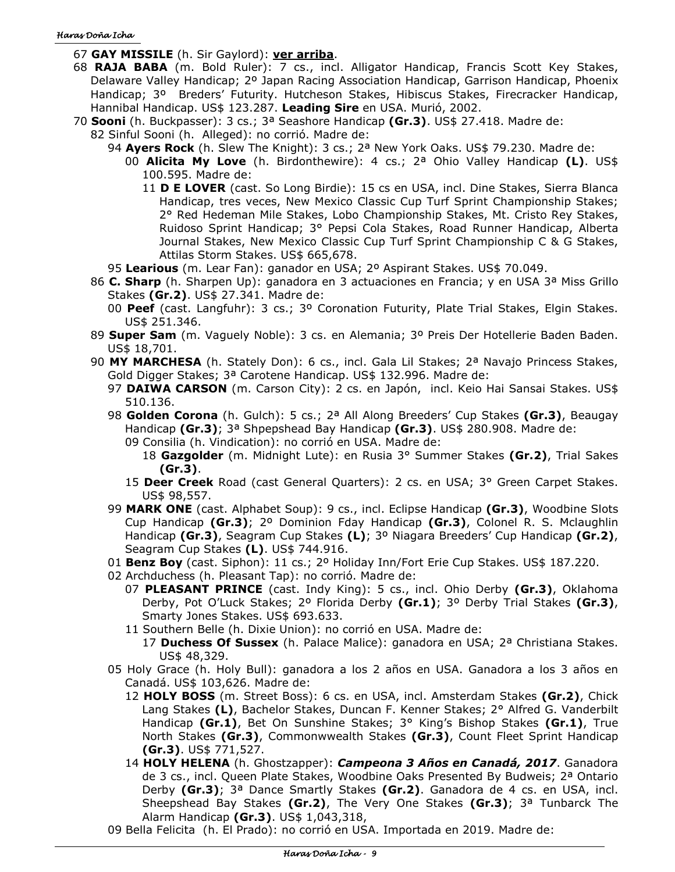- 67 **GAY MISSILE** (h. Sir Gaylord): **ver arriba**.
- 68 **RAJA BABA** (m. Bold Ruler): 7 cs., incl. Alligator Handicap, Francis Scott Key Stakes, Delaware Valley Handicap; 2º Japan Racing Association Handicap, Garrison Handicap, Phoenix Handicap; 3º Breders' Futurity. Hutcheson Stakes, Hibiscus Stakes, Firecracker Handicap, Hannibal Handicap. US\$ 123.287. **Leading Sire** en USA. Murió, 2002.
- 70 **Sooni** (h. Buckpasser): 3 cs.; 3ª Seashore Handicap **(Gr.3)**. US\$ 27.418. Madre de: 82 Sinful Sooni (h. Alleged): no corrió. Madre de:
	- 94 **Ayers Rock** (h. Slew The Knight): 3 cs.; 2ª New York Oaks. US\$ 79.230. Madre de:
		- 00 **Alicita My Love** (h. Birdonthewire): 4 cs.; 2ª Ohio Valley Handicap **(L)**. US\$ 100.595. Madre de:
			- 11 **D E LOVER** (cast. So Long Birdie): 15 cs en USA, incl. Dine Stakes, Sierra Blanca Handicap, tres veces, New Mexico Classic Cup Turf Sprint Championship Stakes; 2° Red Hedeman Mile Stakes, Lobo Championship Stakes, Mt. Cristo Rey Stakes, Ruidoso Sprint Handicap; 3° Pepsi Cola Stakes, Road Runner Handicap, Alberta Journal Stakes, New Mexico Classic Cup Turf Sprint Championship C & G Stakes, Attilas Storm Stakes. US\$ 665,678.
	- 95 **Learious** (m. Lear Fan): ganador en USA; 2º Aspirant Stakes. US\$ 70.049.
	- 86 **C. Sharp** (h. Sharpen Up): ganadora en 3 actuaciones en Francia; y en USA 3ª Miss Grillo Stakes **(Gr.2)**. US\$ 27.341. Madre de:
		- 00 **Peef** (cast. Langfuhr): 3 cs.; 3º Coronation Futurity, Plate Trial Stakes, Elgin Stakes. US\$ 251.346.
	- 89 **Super Sam** (m. Vaguely Noble): 3 cs. en Alemania; 3º Preis Der Hotellerie Baden Baden. US\$ 18,701.
	- 90 **MY MARCHESA** (h. Stately Don): 6 cs., incl. Gala Lil Stakes; 2ª Navajo Princess Stakes, Gold Digger Stakes; 3ª Carotene Handicap. US\$ 132.996. Madre de:
		- 97 **DAIWA CARSON** (m. Carson City): 2 cs. en Japón, incl. Keio Hai Sansai Stakes. US\$ 510.136.
		- 98 **Golden Corona** (h. Gulch): 5 cs.; 2ª All Along Breeders' Cup Stakes **(Gr.3)**, Beaugay Handicap **(Gr.3)**; 3ª Shpepshead Bay Handicap **(Gr.3)**. US\$ 280.908. Madre de:
			- 09 Consilia (h. Vindication): no corrió en USA. Madre de:
				- 18 **Gazgolder** (m. Midnight Lute): en Rusia 3° Summer Stakes **(Gr.2)**, Trial Sakes **(Gr.3)**.
			- 15 **Deer Creek** Road (cast General Quarters): 2 cs. en USA; 3° Green Carpet Stakes. US\$ 98,557.
		- 99 **MARK ONE** (cast. Alphabet Soup): 9 cs., incl. Eclipse Handicap **(Gr.3)**, Woodbine Slots Cup Handicap **(Gr.3)**; 2º Dominion Fday Handicap **(Gr.3)**, Colonel R. S. Mclaughlin Handicap **(Gr.3)**, Seagram Cup Stakes **(L)**; 3º Niagara Breeders' Cup Handicap **(Gr.2)**, Seagram Cup Stakes **(L)**. US\$ 744.916.
		- 01 **Benz Boy** (cast. Siphon): 11 cs.; 2º Holiday Inn/Fort Erie Cup Stakes. US\$ 187.220.
		- 02 Archduchess (h. Pleasant Tap): no corrió. Madre de:
			- 07 **PLEASANT PRINCE** (cast. Indy King): 5 cs., incl. Ohio Derby **(Gr.3)**, Oklahoma Derby, Pot O'Luck Stakes; 2º Florida Derby **(Gr.1)**; 3º Derby Trial Stakes **(Gr.3)**, Smarty Jones Stakes. US\$ 693.633.
			- 11 Southern Belle (h. Dixie Union): no corrió en USA. Madre de:
				- 17 **Duchess Of Sussex** (h. Palace Malice): ganadora en USA; 2ª Christiana Stakes. US\$ 48,329.
		- 05 Holy Grace (h. Holy Bull): ganadora a los 2 años en USA. Ganadora a los 3 años en Canadá. US\$ 103,626. Madre de:
			- 12 **HOLY BOSS** (m. Street Boss): 6 cs. en USA, incl. Amsterdam Stakes **(Gr.2)**, Chick Lang Stakes **(L)**, Bachelor Stakes, Duncan F. Kenner Stakes; 2° Alfred G. Vanderbilt Handicap **(Gr.1)**, Bet On Sunshine Stakes; 3° King's Bishop Stakes **(Gr.1)**, True North Stakes **(Gr.3)**, Commonwwealth Stakes **(Gr.3)**, Count Fleet Sprint Handicap **(Gr.3)**. US\$ 771,527.
			- 14 **HOLY HELENA** (h. Ghostzapper): *Campeona 3 Años en Canadá, 2017*. Ganadora de 3 cs., incl. Queen Plate Stakes, Woodbine Oaks Presented By Budweis; 2ª Ontario Derby **(Gr.3)**; 3ª Dance Smartly Stakes **(Gr.2)**. Ganadora de 4 cs. en USA, incl. Sheepshead Bay Stakes **(Gr.2)**, The Very One Stakes **(Gr.3)**; 3ª Tunbarck The Alarm Handicap **(Gr.3)**. US\$ 1,043,318,
		- 09 Bella Felicita (h. El Prado): no corrió en USA. Importada en 2019. Madre de: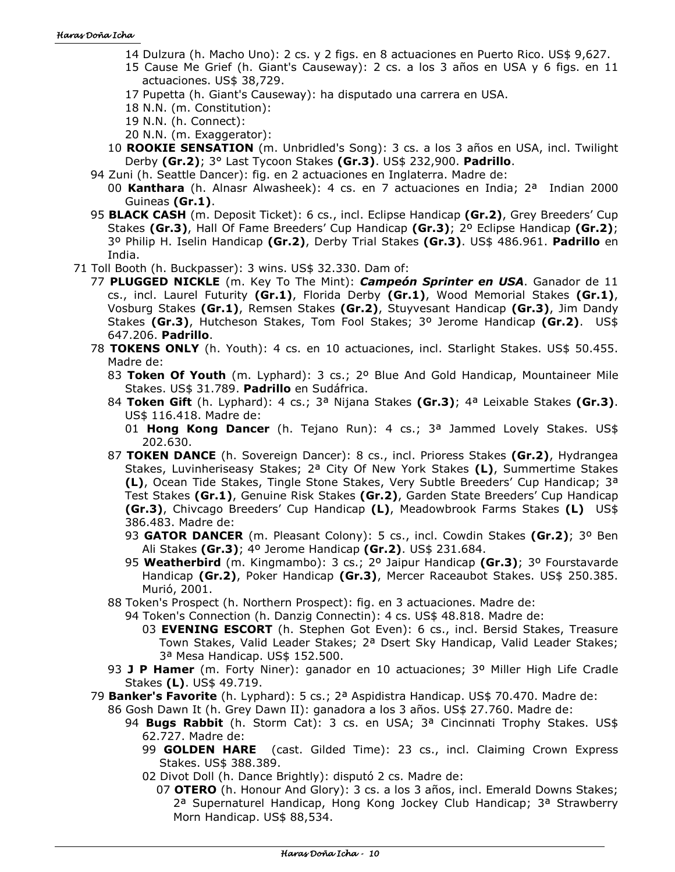- 14 Dulzura (h. Macho Uno): 2 cs. y 2 figs. en 8 actuaciones en Puerto Rico. US\$ 9,627.
- 15 Cause Me Grief (h. Giant's Causeway): 2 cs. a los 3 años en USA y 6 figs. en 11 actuaciones. US\$ 38,729.
- 17 Pupetta (h. Giant's Causeway): ha disputado una carrera en USA.
- 18 N.N. (m. Constitution):
- 19 N.N. (h. Connect):
- 20 N.N. (m. Exaggerator):
- 10 **ROOKIE SENSATION** (m. Unbridled's Song): 3 cs. a los 3 años en USA, incl. Twilight Derby **(Gr.2)**; 3° Last Tycoon Stakes **(Gr.3)**. US\$ 232,900. **Padrillo**.
- 94 Zuni (h. Seattle Dancer): fig. en 2 actuaciones en Inglaterra. Madre de:
	- 00 **Kanthara** (h. Alnasr Alwasheek): 4 cs. en 7 actuaciones en India; 2ª Indian 2000 Guineas **(Gr.1)**.
- 95 **BLACK CASH** (m. Deposit Ticket): 6 cs., incl. Eclipse Handicap **(Gr.2)**, Grey Breeders' Cup Stakes **(Gr.3)**, Hall Of Fame Breeders' Cup Handicap **(Gr.3)**; 2º Eclipse Handicap **(Gr.2)**; 3º Philip H. Iselin Handicap **(Gr.2)**, Derby Trial Stakes **(Gr.3)**. US\$ 486.961. **Padrillo** en India.
- 71 Toll Booth (h. Buckpasser): 3 wins. US\$ 32.330. Dam of:
	- 77 **PLUGGED NICKLE** (m. Key To The Mint): *Campeón Sprinter en USA*. Ganador de 11 cs., incl. Laurel Futurity **(Gr.1)**, Florida Derby **(Gr.1)**, Wood Memorial Stakes **(Gr.1)**, Vosburg Stakes **(Gr.1)**, Remsen Stakes **(Gr.2)**, Stuyvesant Handicap **(Gr.3)**, Jim Dandy Stakes **(Gr.3)**, Hutcheson Stakes, Tom Fool Stakes; 3º Jerome Handicap **(Gr.2)**. US\$ 647.206. **Padrillo**.
	- 78 **TOKENS ONLY** (h. Youth): 4 cs. en 10 actuaciones, incl. Starlight Stakes. US\$ 50.455. Madre de:
		- 83 **Token Of Youth** (m. Lyphard): 3 cs.; 2º Blue And Gold Handicap, Mountaineer Mile Stakes. US\$ 31.789. **Padrillo** en Sudáfrica.
		- 84 **Token Gift** (h. Lyphard): 4 cs.; 3ª Nijana Stakes **(Gr.3)**; 4ª Leixable Stakes **(Gr.3)**. US\$ 116.418. Madre de:
			- 01 **Hong Kong Dancer** (h. Tejano Run): 4 cs.; 3ª Jammed Lovely Stakes. US\$ 202.630.
		- 87 **TOKEN DANCE** (h. Sovereign Dancer): 8 cs., incl. Prioress Stakes **(Gr.2)**, Hydrangea Stakes, Luvinheriseasy Stakes; 2ª City Of New York Stakes **(L)**, Summertime Stakes **(L)**, Ocean Tide Stakes, Tingle Stone Stakes, Very Subtle Breeders' Cup Handicap; 3ª Test Stakes **(Gr.1)**, Genuine Risk Stakes **(Gr.2)**, Garden State Breeders' Cup Handicap **(Gr.3)**, Chivcago Breeders' Cup Handicap **(L)**, Meadowbrook Farms Stakes **(L)** US\$ 386.483. Madre de:
			- 93 **GATOR DANCER** (m. Pleasant Colony): 5 cs., incl. Cowdin Stakes **(Gr.2)**; 3º Ben Ali Stakes **(Gr.3)**; 4º Jerome Handicap **(Gr.2)**. US\$ 231.684.
			- 95 **Weatherbird** (m. Kingmambo): 3 cs.; 2º Jaipur Handicap **(Gr.3)**; 3º Fourstavarde Handicap **(Gr.2)**, Poker Handicap **(Gr.3)**, Mercer Raceaubot Stakes. US\$ 250.385. Murió, 2001.
		- 88 Token's Prospect (h. Northern Prospect): fig. en 3 actuaciones. Madre de:
			- 94 Token's Connection (h. Danzig Connectin): 4 cs. US\$ 48.818. Madre de:
				- 03 **EVENING ESCORT** (h. Stephen Got Even): 6 cs., incl. Bersid Stakes, Treasure Town Stakes, Valid Leader Stakes; 2ª Dsert Sky Handicap, Valid Leader Stakes; 3ª Mesa Handicap. US\$ 152.500.
		- 93 **J P Hamer** (m. Forty Niner): ganador en 10 actuaciones; 3º Miller High Life Cradle Stakes **(L)**. US\$ 49.719.
	- 79 **Banker's Favorite** (h. Lyphard): 5 cs.; 2ª Aspidistra Handicap. US\$ 70.470. Madre de:
		- 86 Gosh Dawn It (h. Grey Dawn II): ganadora a los 3 años. US\$ 27.760. Madre de:
			- 94 **Bugs Rabbit** (h. Storm Cat): 3 cs. en USA; 3ª Cincinnati Trophy Stakes. US\$ 62.727. Madre de:
				- 99 **GOLDEN HARE** (cast. Gilded Time): 23 cs., incl. Claiming Crown Express Stakes. US\$ 388.389.
				- 02 Divot Doll (h. Dance Brightly): disputó 2 cs. Madre de:
					- 07 **OTERO** (h. Honour And Glory): 3 cs. a los 3 años, incl. Emerald Downs Stakes; 2ª Supernaturel Handicap, Hong Kong Jockey Club Handicap; 3ª Strawberry Morn Handicap. US\$ 88,534.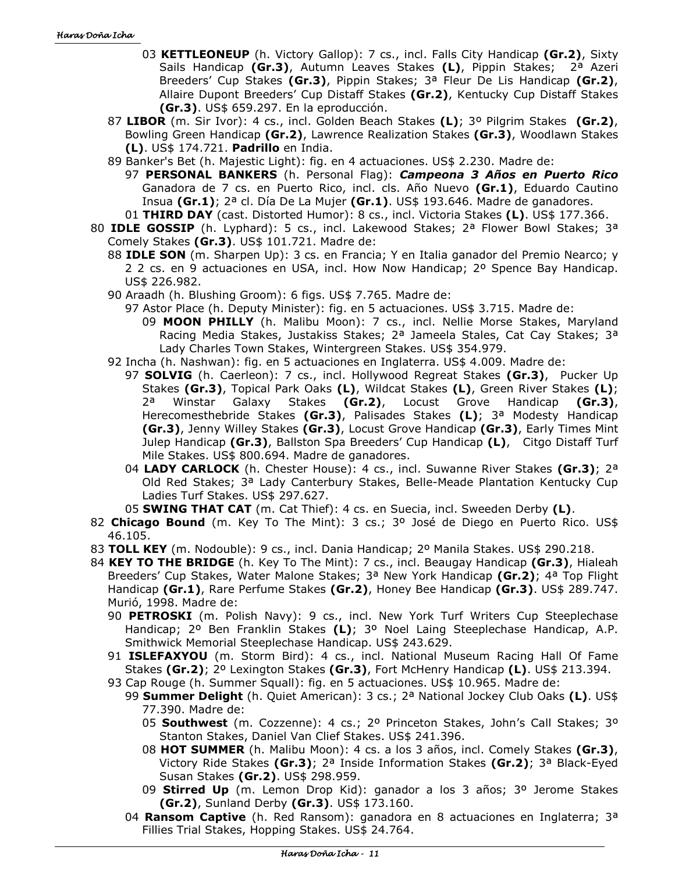- 03 **KETTLEONEUP** (h. Victory Gallop): 7 cs., incl. Falls City Handicap **(Gr.2)**, Sixty Sails Handicap **(Gr.3)**, Autumn Leaves Stakes **(L)**, Pippin Stakes; 2ª Azeri Breeders' Cup Stakes **(Gr.3)**, Pippin Stakes; 3ª Fleur De Lis Handicap **(Gr.2)**, Allaire Dupont Breeders' Cup Distaff Stakes **(Gr.2)**, Kentucky Cup Distaff Stakes **(Gr.3)**. US\$ 659.297. En la eproducción.
- 87 **LIBOR** (m. Sir Ivor): 4 cs., incl. Golden Beach Stakes **(L)**; 3º Pilgrim Stakes **(Gr.2)**, Bowling Green Handicap **(Gr.2)**, Lawrence Realization Stakes **(Gr.3)**, Woodlawn Stakes **(L)**. US\$ 174.721. **Padrillo** en India.
- 89 Banker's Bet (h. Majestic Light): fig. en 4 actuaciones. US\$ 2.230. Madre de:
	- 97 **PERSONAL BANKERS** (h. Personal Flag): *Campeona 3 Años en Puerto Rico* Ganadora de 7 cs. en Puerto Rico, incl. cls. Año Nuevo **(Gr.1)**, Eduardo Cautino Insua **(Gr.1)**; 2ª cl. Día De La Mujer **(Gr.1)**. US\$ 193.646. Madre de ganadores.
- 01 **THIRD DAY** (cast. Distorted Humor): 8 cs., incl. Victoria Stakes **(L)**. US\$ 177.366.
- 80 **IDLE GOSSIP** (h. Lyphard): 5 cs., incl. Lakewood Stakes; 2ª Flower Bowl Stakes; 3ª Comely Stakes **(Gr.3)**. US\$ 101.721. Madre de:
	- 88 **IDLE SON** (m. Sharpen Up): 3 cs. en Francia; Y en Italia ganador del Premio Nearco; y 2 2 cs. en 9 actuaciones en USA, incl. How Now Handicap; 2º Spence Bay Handicap. US\$ 226.982.
	- 90 Araadh (h. Blushing Groom): 6 figs. US\$ 7.765. Madre de:
		- 97 Astor Place (h. Deputy Minister): fig. en 5 actuaciones. US\$ 3.715. Madre de: 09 **MOON PHILLY** (h. Malibu Moon): 7 cs., incl. Nellie Morse Stakes, Maryland Racing Media Stakes, Justakiss Stakes; 2<sup>a</sup> Jameela Stales, Cat Cay Stakes; 3<sup>a</sup> Lady Charles Town Stakes, Wintergreen Stakes. US\$ 354.979.
	- 92 Incha (h. Nashwan): fig. en 5 actuaciones en Inglaterra. US\$ 4.009. Madre de:
		- 97 **SOLVIG** (h. Caerleon): 7 cs., incl. Hollywood Regreat Stakes **(Gr.3)**, Pucker Up Stakes **(Gr.3)**, Topical Park Oaks **(L)**, Wildcat Stakes **(L)**, Green River Stakes **(L)**; 2ª Winstar Galaxy Stakes **(Gr.2)**, Locust Grove Handicap **(Gr.3)**, Herecomesthebride Stakes **(Gr.3)**, Palisades Stakes **(L)**; 3ª Modesty Handicap **(Gr.3)**, Jenny Willey Stakes **(Gr.3)**, Locust Grove Handicap **(Gr.3)**, Early Times Mint Julep Handicap **(Gr.3)**, Ballston Spa Breeders' Cup Handicap **(L)**, Citgo Distaff Turf Mile Stakes. US\$ 800.694. Madre de ganadores.
		- 04 **LADY CARLOCK** (h. Chester House): 4 cs., incl. Suwanne River Stakes **(Gr.3)**; 2ª Old Red Stakes; 3ª Lady Canterbury Stakes, Belle-Meade Plantation Kentucky Cup Ladies Turf Stakes. US\$ 297.627.

05 **SWING THAT CAT** (m. Cat Thief): 4 cs. en Suecia, incl. Sweeden Derby **(L)**.

- 82 **Chicago Bound** (m. Key To The Mint): 3 cs.; 3º José de Diego en Puerto Rico. US\$ 46.105.
- 83 **TOLL KEY** (m. Nodouble): 9 cs., incl. Dania Handicap; 2º Manila Stakes. US\$ 290.218.
- 84 **KEY TO THE BRIDGE** (h. Key To The Mint): 7 cs., incl. Beaugay Handicap **(Gr.3)**, Hialeah Breeders' Cup Stakes, Water Malone Stakes; 3ª New York Handicap **(Gr.2)**; 4ª Top Flight Handicap **(Gr.1)**, Rare Perfume Stakes **(Gr.2)**, Honey Bee Handicap **(Gr.3)**. US\$ 289.747. Murió, 1998. Madre de:
	- 90 **PETROSKI** (m. Polish Navy): 9 cs., incl. New York Turf Writers Cup Steeplechase Handicap; 2º Ben Franklin Stakes **(L)**; 3º Noel Laing Steeplechase Handicap, A.P. Smithwick Memorial Steeplechase Handicap. US\$ 243.629.
	- 91 **ISLEFAXYOU** (m. Storm Bird): 4 cs., incl. National Museum Racing Hall Of Fame Stakes **(Gr.2)**; 2º Lexington Stakes **(Gr.3)**, Fort McHenry Handicap **(L)**. US\$ 213.394.
	- 93 Cap Rouge (h. Summer Squall): fig. en 5 actuaciones. US\$ 10.965. Madre de:
		- 99 **Summer Delight** (h. Quiet American): 3 cs.; 2ª National Jockey Club Oaks **(L)**. US\$ 77.390. Madre de:
			- 05 **Southwest** (m. Cozzenne): 4 cs.; 2º Princeton Stakes, John's Call Stakes; 3º Stanton Stakes, Daniel Van Clief Stakes. US\$ 241.396.
			- 08 **HOT SUMMER** (h. Malibu Moon): 4 cs. a los 3 años, incl. Comely Stakes **(Gr.3)**, Victory Ride Stakes **(Gr.3)**; 2ª Inside Information Stakes **(Gr.2)**; 3ª Black-Eyed Susan Stakes **(Gr.2)**. US\$ 298.959.
			- 09 **Stirred Up** (m. Lemon Drop Kid): ganador a los 3 años; 3º Jerome Stakes **(Gr.2)**, Sunland Derby **(Gr.3)**. US\$ 173.160.
		- 04 **Ransom Captive** (h. Red Ransom): ganadora en 8 actuaciones en Inglaterra; 3ª Fillies Trial Stakes, Hopping Stakes. US\$ 24.764.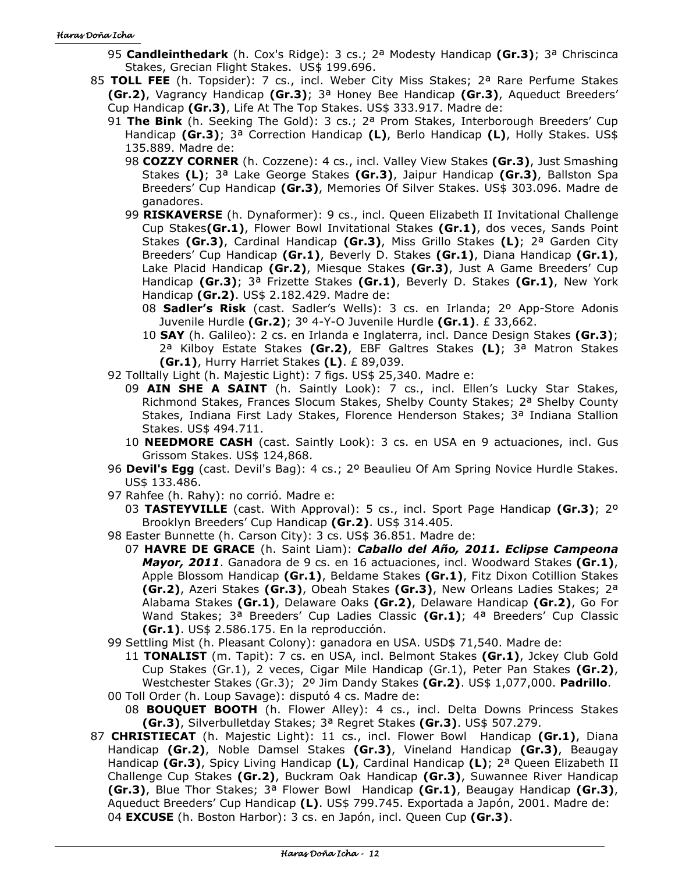- 95 **Candleinthedark** (h. Cox's Ridge): 3 cs.; 2ª Modesty Handicap **(Gr.3)**; 3ª Chriscinca Stakes, Grecian Flight Stakes. US\$ 199.696.
- 85 **TOLL FEE** (h. Topsider): 7 cs., incl. Weber City Miss Stakes; 2ª Rare Perfume Stakes **(Gr.2)**, Vagrancy Handicap **(Gr.3)**; 3ª Honey Bee Handicap **(Gr.3)**, Aqueduct Breeders' Cup Handicap **(Gr.3)**, Life At The Top Stakes. US\$ 333.917. Madre de:
	- 91 **The Bink** (h. Seeking The Gold): 3 cs.; 2ª Prom Stakes, Interborough Breeders' Cup Handicap **(Gr.3)**; 3ª Correction Handicap **(L)**, Berlo Handicap **(L)**, Holly Stakes. US\$ 135.889. Madre de:
		- 98 **COZZY CORNER** (h. Cozzene): 4 cs., incl. Valley View Stakes **(Gr.3)**, Just Smashing Stakes **(L)**; 3ª Lake George Stakes **(Gr.3)**, Jaipur Handicap **(Gr.3)**, Ballston Spa Breeders' Cup Handicap **(Gr.3)**, Memories Of Silver Stakes. US\$ 303.096. Madre de ganadores.
		- 99 **RISKAVERSE** (h. Dynaformer): 9 cs., incl. Queen Elizabeth II Invitational Challenge Cup Stakes**(Gr.1)**, Flower Bowl Invitational Stakes **(Gr.1)**, dos veces, Sands Point Stakes **(Gr.3)**, Cardinal Handicap **(Gr.3)**, Miss Grillo Stakes **(L)**; 2ª Garden City Breeders' Cup Handicap **(Gr.1)**, Beverly D. Stakes **(Gr.1)**, Diana Handicap **(Gr.1)**, Lake Placid Handicap **(Gr.2)**, Miesque Stakes **(Gr.3)**, Just A Game Breeders' Cup Handicap **(Gr.3)**; 3ª Frizette Stakes **(Gr.1)**, Beverly D. Stakes **(Gr.1)**, New York Handicap **(Gr.2)**. US\$ 2.182.429. Madre de:
			- 08 **Sadler's Risk** (cast. Sadler's Wells): 3 cs. en Irlanda; 2º App-Store Adonis Juvenile Hurdle **(Gr.2)**; 3º 4-Y-O Juvenile Hurdle **(Gr.1)**. £ 33,662.
			- 10 **SAY** (h. Galileo): 2 cs. en Irlanda e Inglaterra, incl. Dance Design Stakes **(Gr.3)**; 2ª Kilboy Estate Stakes **(Gr.2)**, EBF Galtres Stakes **(L)**; 3ª Matron Stakes **(Gr.1)**, Hurry Harriet Stakes **(L)**. £ 89,039.
	- 92 Tolltally Light (h. Majestic Light): 7 figs. US\$ 25,340. Madre e:
		- 09 **AIN SHE A SAINT** (h. Saintly Look): 7 cs., incl. Ellen's Lucky Star Stakes, Richmond Stakes, Frances Slocum Stakes, Shelby County Stakes; 2ª Shelby County Stakes, Indiana First Lady Stakes, Florence Henderson Stakes; 3ª Indiana Stallion Stakes. US\$ 494.711.
		- 10 **NEEDMORE CASH** (cast. Saintly Look): 3 cs. en USA en 9 actuaciones, incl. Gus Grissom Stakes. US\$ 124,868.
	- 96 **Devil's Egg** (cast. Devil's Bag): 4 cs.; 2º Beaulieu Of Am Spring Novice Hurdle Stakes. US\$ 133.486.
	- 97 Rahfee (h. Rahy): no corrió. Madre e:
		- 03 **TASTEYVILLE** (cast. With Approval): 5 cs., incl. Sport Page Handicap **(Gr.3)**; 2º Brooklyn Breeders' Cup Handicap **(Gr.2)**. US\$ 314.405.
	- 98 Easter Bunnette (h. Carson City): 3 cs. US\$ 36.851. Madre de:
		- 07 **HAVRE DE GRACE** (h. Saint Liam): *Caballo del Año, 2011. Eclipse Campeona Mayor, 2011*. Ganadora de 9 cs. en 16 actuaciones, incl. Woodward Stakes **(Gr.1)**, Apple Blossom Handicap **(Gr.1)**, Beldame Stakes **(Gr.1)**, Fitz Dixon Cotillion Stakes **(Gr.2)**, Azeri Stakes **(Gr.3)**, Obeah Stakes **(Gr.3)**, New Orleans Ladies Stakes; 2ª Alabama Stakes **(Gr.1)**, Delaware Oaks **(Gr.2)**, Delaware Handicap **(Gr.2)**, Go For Wand Stakes; 3ª Breeders' Cup Ladies Classic **(Gr.1)**; 4ª Breeders' Cup Classic **(Gr.1)**. US\$ 2.586.175. En la reproducción.
	- 99 Settling Mist (h. Pleasant Colony): ganadora en USA. USD\$ 71,540. Madre de:
	- 11 **TONALIST** (m. Tapit): 7 cs. en USA, incl. Belmont Stakes **(Gr.1)**, Jckey Club Gold Cup Stakes (Gr.1), 2 veces, Cigar Mile Handicap (Gr.1), Peter Pan Stakes **(Gr.2)**, Westchester Stakes (Gr.3); 2º Jim Dandy Stakes **(Gr.2)**. US\$ 1,077,000. **Padrillo**. 00 Toll Order (h. Loup Savage): disputó 4 cs. Madre de:
		- 08 **BOUQUET BOOTH** (h. Flower Alley): 4 cs., incl. Delta Downs Princess Stakes **(Gr.3)**, Silverbulletday Stakes; 3ª Regret Stakes **(Gr.3)**. US\$ 507.279.
- 87 **CHRISTIECAT** (h. Majestic Light): 11 cs., incl. Flower Bowl Handicap **(Gr.1)**, Diana Handicap **(Gr.2)**, Noble Damsel Stakes **(Gr.3)**, Vineland Handicap **(Gr.3)**, Beaugay Handicap **(Gr.3)**, Spicy Living Handicap **(L)**, Cardinal Handicap **(L)**; 2ª Queen Elizabeth II Challenge Cup Stakes **(Gr.2)**, Buckram Oak Handicap **(Gr.3)**, Suwannee River Handicap **(Gr.3)**, Blue Thor Stakes; 3ª Flower Bowl Handicap **(Gr.1)**, Beaugay Handicap **(Gr.3)**, Aqueduct Breeders' Cup Handicap **(L)**. US\$ 799.745. Exportada a Japón, 2001. Madre de: 04 **EXCUSE** (h. Boston Harbor): 3 cs. en Japón, incl. Queen Cup **(Gr.3)**.